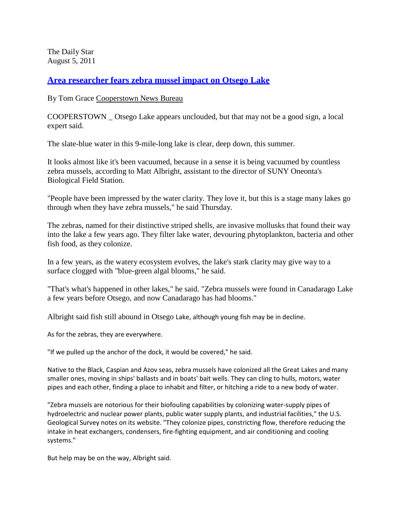The Daily Star August 5, 2011

**Area researcher fears zebra mussel [impact on Otsego](http://www.thedailystar.com/localnews/x2144279157/Area-researcher-fears-zebra-mussel-impact-on-Otsego-Lake) Lake**

By Tom Grace [Cooperstown News](http://www.thedailystar.com/) Bureau

COOPERSTOWN \_ Otsego Lake appears unclouded, but that may not be a good sign, a local expert said.

The slate-blue water in this 9-mile-long lake is clear, deep down, this summer.

It looks almost like it's been vacuumed, because in a sense it is being vacuumed by countless zebra mussels, according to Matt Albright, assistant to the director of SUNY Oneonta's Biological Field Station.

"People have been impressed by the water clarity. They love it, but this is a stage many lakes go through when they have zebra mussels," he said Thursday.

The zebras, named for their distinctive striped shells, are invasive mollusks that found their way into the lake a few years ago. They filter lake water, devouring phytoplankton, bacteria and other fish food, as they colonize.

In a few years, as the watery ecosystem evolves, the lake's stark clarity may give way to a surface clogged with "blue-green algal blooms," he said.

"That's what's happened in other lakes," he said. "Zebra mussels were found in Canadarago Lake a few years before Otsego, and now Canadarago has had blooms."

Albright said fish still abound in Otsego Lake, although young fish may be in decline.

As for the zebras, they are everywhere.

"If we pulled up the anchor of the dock, it would be covered," he said.

Native to the Black, Caspian and Azov seas, zebra mussels have colonized all the Great Lakes and many smaller ones, moving in ships' ballasts and in boats' bait wells. They can cling to hulls, motors, water pipes and each other, finding a place to inhabit and filter, or hitching a ride to a new body of water.

"Zebra mussels are notorious for their biofouling capabilities by colonizing water-supply pipes of hydroelectric and nuclear power plants, public water supply plants, and industrial facilities," the U.S. Geological Survey notes on its website. "They colonize pipes, constricting flow, therefore reducing the intake in heat exchangers, condensers, fire-fighting equipment, and air conditioning and cooling systems."

But help may be on the way, Albright said.